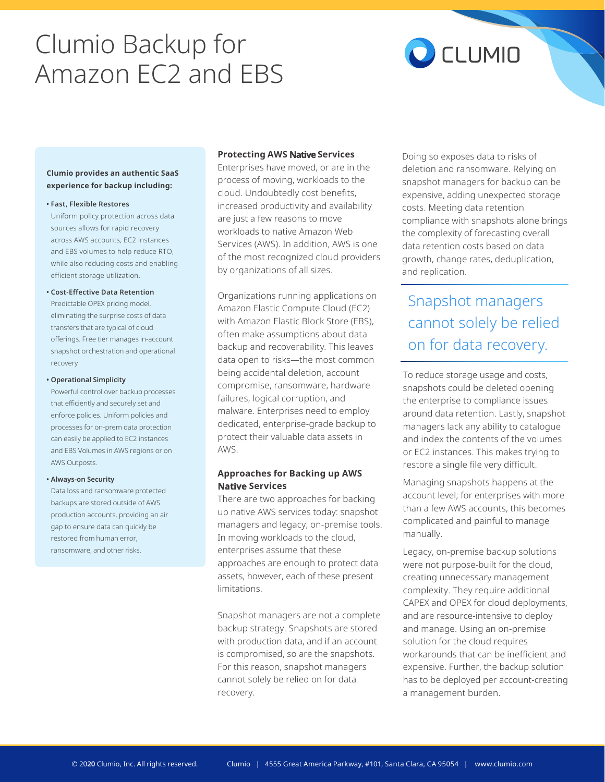# Clumio Backup for Amazon EC2 and EBS



#### **Clumio provides an authentic SaaS experience for backup including:**

**• Fast, Flexible Restores**

Uniform policy protection across data sources allows for rapid recovery across AWS accounts, EC2 instances and EBS volumes to help reduce RTO, while also reducing costs and enabling efficient storage utilization.

### **• Cost-Effective Data Retention** Predictable OPEX pricing model, eliminating the surprise costs of data transfers that are typical of cloud offerings. Free tier manages in-account snapshot orchestration and operational recovery

#### **• Operational Simplicity**

Powerful control over backup processes that efficiently and securely set and enforce policies. Uniform policies and processes for on-prem data protection can easily be applied to EC2 instances and EBS Volumes in AWS regions or on AWS Outposts.

#### **• Always-on Security**

Data loss and ransomware protected backups are stored outside of AWS production accounts, providing an air gap to ensure data can quickly be restored from human error, ransomware, and other risks.

### **Protecting AWS Native Services**

Enterprises have moved, or are in the process of moving, workloads to the cloud. Undoubtedly cost benefits, increased productivity and availability are just a few reasons to move workloads to native Amazon Web Services (AWS). In addition, AWS is one of the most recognized cloud providers by organizations of all sizes.

Organizations running applications on Amazon Elastic Compute Cloud (EC2) with Amazon Elastic Block Store (EBS), often make assumptions about data backup and recoverability. This leaves data open to risks—the most common being accidental deletion, account compromise, ransomware, hardware failures, logical corruption, and malware. Enterprises need to employ dedicated, enterprise-grade backup to protect their valuable data assets in AWS.

### **Approaches for Backing up AWS Native Services**

There are two approaches for backing up native AWS services today: snapshot managers and legacy, on-premise tools. In moving workloads to the cloud, enterprises assume that these approaches are enough to protect data assets, however, each of these present limitations.

Snapshot managers are not a complete backup strategy. Snapshots are stored with production data, and if an account is compromised, so are the snapshots. For this reason, snapshot managers cannot solely be relied on for data recovery.

Doing so exposes data to risks of deletion and ransomware. Relying on snapshot managers for backup can be expensive, adding unexpected storage costs. Meeting data retention compliance with snapshots alone brings the complexity of forecasting overall data retention costs based on data growth, change rates, deduplication, and replication.

# Snapshot managers cannot solely be relied on for data recovery.

To reduce storage usage and costs, snapshots could be deleted opening the enterprise to compliance issues around data retention. Lastly, snapshot managers lack any ability to catalogue and index the contents of the volumes or EC2 instances. This makes trying to restore a single file very difficult.

Managing snapshots happens at the account level; for enterprises with more than a few AWS accounts, this becomes complicated and painful to manage manually.

Legacy, on-premise backup solutions were not purpose-built for the cloud, creating unnecessary management complexity. They require additional CAPEX and OPEX for cloud deployments, and are resource-intensive to deploy and manage. Using an on-premise solution for the cloud requires workarounds that can be inefficient and expensive. Further, the backup solution has to be deployed per account-creating a management burden.